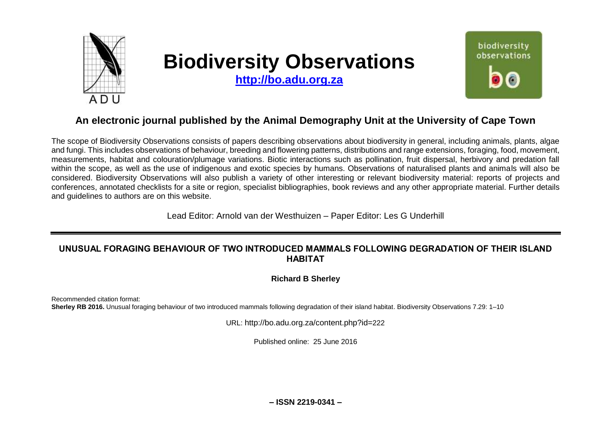

# **Biodiversity Observations**

**[http://bo.adu.org.za](http://bo.adu.org.za/)**



# **An electronic journal published by the Animal Demography Unit at the University of Cape Town**

The scope of Biodiversity Observations consists of papers describing observations about biodiversity in general, including animals, plants, algae and fungi. This includes observations of behaviour, breeding and flowering patterns, distributions and range extensions, foraging, food, movement, measurements, habitat and colouration/plumage variations. Biotic interactions such as pollination, fruit dispersal, herbivory and predation fall within the scope, as well as the use of indigenous and exotic species by humans. Observations of naturalised plants and animals will also be considered. Biodiversity Observations will also publish a variety of other interesting or relevant biodiversity material: reports of projects and conferences, annotated checklists for a site or region, specialist bibliographies, book reviews and any other appropriate material. Further details and guidelines to authors are on this website.

Lead Editor: Arnold van der Westhuizen – Paper Editor: Les G Underhill

# **UNUSUAL FORAGING BEHAVIOUR OF TWO INTRODUCED MAMMALS FOLLOWING DEGRADATION OF THEIR ISLAND HABITAT**

**Richard B Sherley**

Recommended citation format: **Sherley RB 2016.** Unusual foraging behaviour of two introduced mammals following degradation of their island habitat. Biodiversity Observations 7.29: 1–10

URL: http://bo.adu.org.za/content.php?id=222

Published online: 25 June 2016

**– ISSN 2219-0341 –**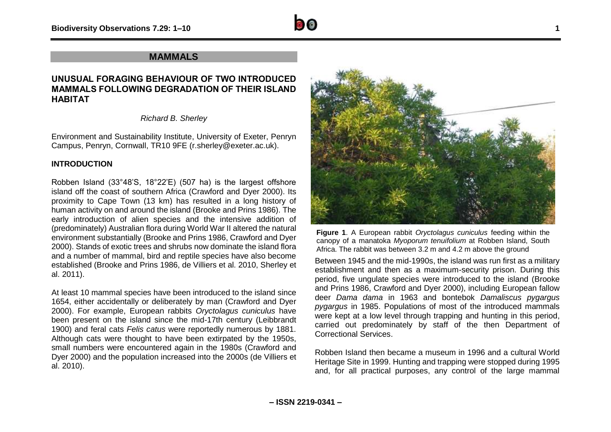

# **MAMMALS**

# **UNUSUAL FORAGING BEHAVIOUR OF TWO INTRODUCED MAMMALS FOLLOWING DEGRADATION OF THEIR ISLAND HABITAT**

*Richard B. Sherley*

Environment and Sustainability Institute, University of Exeter, Penryn Campus, Penryn, Cornwall, TR10 9FE (r.sherley@exeter.ac.uk).

## **INTRODUCTION**

Robben Island (33°48'S, 18°22'E) (507 ha) is the largest offshore island off the coast of southern Africa (Crawford and Dyer 2000). Its proximity to Cape Town (13 km) has resulted in a long history of human activity on and around the island (Brooke and Prins 1986). The early introduction of alien species and the intensive addition of (predominately) Australian flora during World War II altered the natural environment substantially (Brooke and Prins 1986, Crawford and Dyer 2000). Stands of exotic trees and shrubs now dominate the island flora and a number of mammal, bird and reptile species have also become established (Brooke and Prins 1986, de Villiers et al. 2010, Sherley et al. 2011).

At least 10 mammal species have been introduced to the island since 1654, either accidentally or deliberately by man (Crawford and Dyer 2000). For example, European rabbits *Oryctolagus cuniculus* have been present on the island since the mid-17th century (Leibbrandt 1900) and feral cats *Felis catus* were reportedly numerous by 1881. Although cats were thought to have been extirpated by the 1950s, small numbers were encountered again in the 1980s (Crawford and Dyer 2000) and the population increased into the 2000s (de Villiers et al. 2010).



**Figure 1**. A European rabbit *Oryctolagus cuniculus* feeding within the canopy of a manatoka *Myoporum tenuifolium* at Robben Island, South Africa. The rabbit was between 3.2 m and 4.2 m above the ground

Between 1945 and the mid-1990s, the island was run first as a military establishment and then as a maximum-security prison. During this period, five ungulate species were introduced to the island (Brooke and Prins 1986, Crawford and Dyer 2000), including European fallow deer *Dama dama* in 1963 and bontebok *Damaliscus pygargus pygargus* in 1985. Populations of most of the introduced mammals were kept at a low level through trapping and hunting in this period, carried out predominately by staff of the then Department of Correctional Services.

Robben Island then became a museum in 1996 and a cultural World Heritage Site in 1999. Hunting and trapping were stopped during 1995 and, for all practical purposes, any control of the large mammal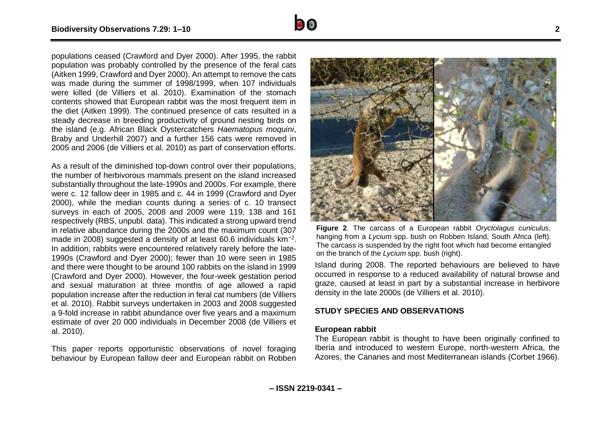populations ceased (Crawford and Dyer 2000). After 1995, the rabbit population was probably controlled by the presence of the feral cats (Aitken 1999, Crawford and Dyer 2000). An attempt to remove the cats was made during the summer of 1998/1999, when 107 individuals were killed (de Villiers et al. 2010). Examination of the stomach contents showed that European rabbit was the most frequent item in the diet (Aitken 1999). The continued presence of cats resulted in a steady decrease in breeding productivity of ground nesting birds on the island (e.g. African Black Oystercatchers *Haematopus moquini*, Braby and Underhill 2007) and a further 156 cats were removed in 2005 and 2006 (de Villiers et al. 2010) as part of conservation efforts.

As a result of the diminished top-down control over their populations, the number of herbivorous mammals present on the island increased substantially throughout the late-1990s and 2000s. For example, there were c. 12 fallow deer in 1985 and c. 44 in 1999 (Crawford and Dyer 2000), while the median counts during a series of c. 10 transect surveys in each of 2005, 2008 and 2009 were 119, 138 and 161 respectively (RBS, unpubl. data). This indicated a strong upward trend in relative abundance during the 2000s and the maximum count (307 made in 2008) suggested a density of at least 60.6 individuals km<sup>-2</sup>. In addition, rabbits were encountered relatively rarely before the late-1990s (Crawford and Dyer 2000); fewer than 10 were seen in 1985 and there were thought to be around 100 rabbits on the island in 1999 (Crawford and Dyer 2000). However, the four-week gestation period and sexual maturation at three months of age allowed a rapid population increase after the reduction in feral cat numbers (de Villiers et al. 2010). Rabbit surveys undertaken in 2003 and 2008 suggested a 9-fold increase in rabbit abundance over five years and a maximum estimate of over 20 000 individuals in December 2008 (de Villiers et al. 2010).

This paper reports opportunistic observations of novel foraging behaviour by European fallow deer and European rabbit on Robben



Island during 2008. The reported behaviours are believed to have occurred in response to a reduced availability of natural browse and graze, caused at least in part by a substantial increase in herbivore density in the late 2000s (de Villiers et al. 2010).

#### **STUDY SPECIES AND OBSERVATIONS**

#### **European rabbit**

The European rabbit is thought to have been originally confined to Iberia and introduced to western Europe, north-western Africa, the Azores, the Canaries and most Mediterranean islands (Corbet 1966).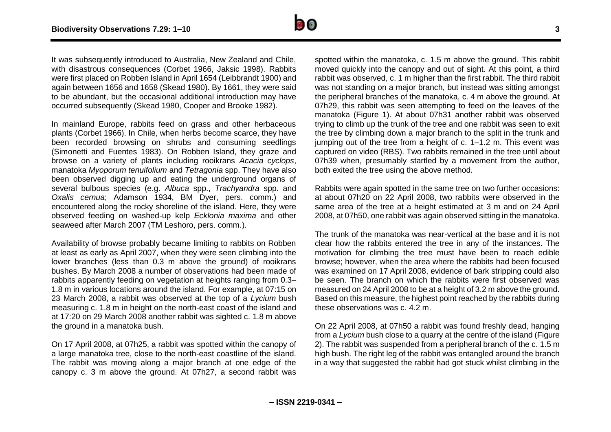

It was subsequently introduced to Australia, New Zealand and Chile, with disastrous consequences (Corbet 1966, Jaksic 1998). Rabbits were first placed on Robben Island in April 1654 (Leibbrandt 1900) and again between 1656 and 1658 (Skead 1980). By 1661, they were said to be abundant, but the occasional additional introduction may have occurred subsequently (Skead 1980, Cooper and Brooke 1982).

In mainland Europe, rabbits feed on grass and other herbaceous plants (Corbet 1966). In Chile, when herbs become scarce, they have been recorded browsing on shrubs and consuming seedlings (Simonetti and Fuentes 1983). On Robben Island, they graze and browse on a variety of plants including rooikrans *Acacia cyclops*, manatoka *Myoporum tenuifolium* and *Tetragonia* spp. They have also been observed digging up and eating the underground organs of several bulbous species (e.g. *Albuca* spp., *Trachyandra* spp. and *Oxalis cernua*; Adamson 1934, BM Dyer, pers. comm.) and encountered along the rocky shoreline of the island. Here, they were observed feeding on washed-up kelp *Ecklonia maxima* and other seaweed after March 2007 (TM Leshoro, pers. comm.).

Availability of browse probably became limiting to rabbits on Robben at least as early as April 2007, when they were seen climbing into the lower branches (less than 0.3 m above the ground) of rooikrans bushes. By March 2008 a number of observations had been made of rabbits apparently feeding on vegetation at heights ranging from 0.3– 1.8 m in various locations around the island. For example, at 07:15 on 23 March 2008, a rabbit was observed at the top of a *Lycium* bush measuring c. 1.8 m in height on the north-east coast of the island and at 17:20 on 29 March 2008 another rabbit was sighted c. 1.8 m above the ground in a manatoka bush.

On 17 April 2008, at 07h25, a rabbit was spotted within the canopy of a large manatoka tree, close to the north-east coastline of the island. The rabbit was moving along a major branch at one edge of the canopy c. 3 m above the ground. At 07h27, a second rabbit was spotted within the manatoka, c. 1.5 m above the ground. This rabbit moved quickly into the canopy and out of sight. At this point, a third rabbit was observed, c. 1 m higher than the first rabbit. The third rabbit was not standing on a major branch, but instead was sitting amongst the peripheral branches of the manatoka, c. 4 m above the ground. At 07h29, this rabbit was seen attempting to feed on the leaves of the manatoka (Figure 1). At about 07h31 another rabbit was observed trying to climb up the trunk of the tree and one rabbit was seen to exit the tree by climbing down a major branch to the split in the trunk and jumping out of the tree from a height of c. 1–1.2 m. This event was captured on video (RBS). Two rabbits remained in the tree until about 07h39 when, presumably startled by a movement from the author, both exited the tree using the above method.

Rabbits were again spotted in the same tree on two further occasions: at about 07h20 on 22 April 2008, two rabbits were observed in the same area of the tree at a height estimated at 3 m and on 24 April 2008, at 07h50, one rabbit was again observed sitting in the manatoka.

The trunk of the manatoka was near-vertical at the base and it is not clear how the rabbits entered the tree in any of the instances. The motivation for climbing the tree must have been to reach edible browse; however, when the area where the rabbits had been focused was examined on 17 April 2008, evidence of bark stripping could also be seen. The branch on which the rabbits were first observed was measured on 24 April 2008 to be at a height of 3.2 m above the ground. Based on this measure, the highest point reached by the rabbits during these observations was c. 4.2 m.

On 22 April 2008, at 07h50 a rabbit was found freshly dead, hanging from a *Lycium* bush close to a quarry at the centre of the island (Figure 2). The rabbit was suspended from a peripheral branch of the c. 1.5 m high bush. The right leg of the rabbit was entangled around the branch in a way that suggested the rabbit had got stuck whilst climbing in the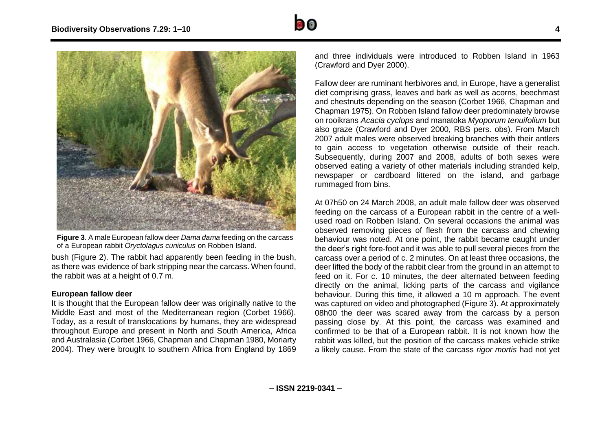



**Figure 3**. A male European fallow deer *Dama dama* feeding on the carcass of a European rabbit *Oryctolagus cuniculus* on Robben Island.

bush (Figure 2). The rabbit had apparently been feeding in the bush, as there was evidence of bark stripping near the carcass. When found, the rabbit was at a height of 0.7 m.

## **European fallow deer**

It is thought that the European fallow deer was originally native to the Middle East and most of the Mediterranean region (Corbet 1966). Today, as a result of translocations by humans, they are widespread throughout Europe and present in North and South America, Africa and Australasia (Corbet 1966, Chapman and Chapman 1980, Moriarty 2004). They were brought to southern Africa from England by 1869 and three individuals were introduced to Robben Island in 1963 (Crawford and Dyer 2000).

Fallow deer are ruminant herbivores and, in Europe, have a generalist diet comprising grass, leaves and bark as well as acorns, beechmast and chestnuts depending on the season (Corbet 1966, Chapman and Chapman 1975). On Robben Island fallow deer predominately browse on rooikrans *Acacia cyclops* and manatoka *Myoporum tenuifolium* but also graze (Crawford and Dyer 2000, RBS pers. obs). From March 2007 adult males were observed breaking branches with their antlers to gain access to vegetation otherwise outside of their reach. Subsequently, during 2007 and 2008, adults of both sexes were observed eating a variety of other materials including stranded kelp, newspaper or cardboard littered on the island, and garbage rummaged from bins.

At 07h50 on 24 March 2008, an adult male fallow deer was observed feeding on the carcass of a European rabbit in the centre of a wellused road on Robben Island. On several occasions the animal was observed removing pieces of flesh from the carcass and chewing behaviour was noted. At one point, the rabbit became caught under the deer's right fore-foot and it was able to pull several pieces from the carcass over a period of c. 2 minutes. On at least three occasions, the deer lifted the body of the rabbit clear from the ground in an attempt to feed on it. For c. 10 minutes, the deer alternated between feeding directly on the animal, licking parts of the carcass and vigilance behaviour. During this time, it allowed a 10 m approach. The event was captured on video and photographed (Figure 3). At approximately 08h00 the deer was scared away from the carcass by a person passing close by. At this point, the carcass was examined and confirmed to be that of a European rabbit. It is not known how the rabbit was killed, but the position of the carcass makes vehicle strike a likely cause. From the state of the carcass *rigor mortis* had not yet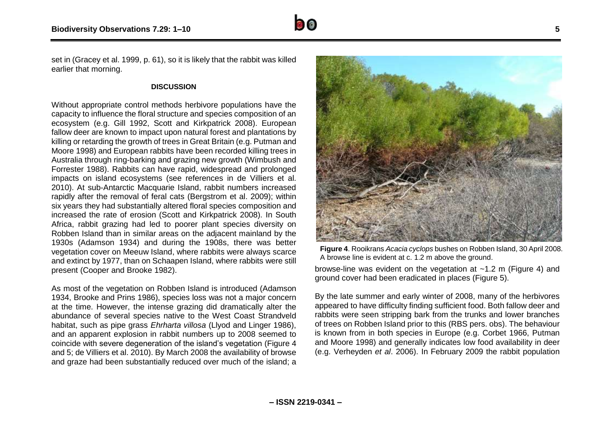

### **DISCUSSION**

Without appropriate control methods herbivore populations have the capacity to influence the floral structure and species composition of an ecosystem (e.g. Gill 1992, Scott and Kirkpatrick 2008). European fallow deer are known to impact upon natural forest and plantations by killing or retarding the growth of trees in Great Britain (e.g. Putman and Moore 1998) and European rabbits have been recorded killing trees in Australia through ring-barking and grazing new growth (Wimbush and Forrester 1988). Rabbits can have rapid, widespread and prolonged impacts on island ecosystems (see references in de Villiers et al. 2010). At sub-Antarctic Macquarie Island, rabbit numbers increased rapidly after the removal of feral cats (Bergstrom et al. 2009); within six years they had substantially altered floral species composition and increased the rate of erosion (Scott and Kirkpatrick 2008). In South Africa, rabbit grazing had led to poorer plant species diversity on Robben Island than in similar areas on the adjacent mainland by the 1930s (Adamson 1934) and during the 1908s, there was better vegetation cover on Meeuw Island, where rabbits were always scarce and extinct by 1977, than on Schaapen Island, where rabbits were still present (Cooper and Brooke 1982).

As most of the vegetation on Robben Island is introduced (Adamson 1934, Brooke and Prins 1986), species loss was not a major concern at the time. However, the intense grazing did dramatically alter the abundance of several species native to the West Coast Strandveld habitat, such as pipe grass *Ehrharta villosa* (Llyod and Linger 1986), and an apparent explosion in rabbit numbers up to 2008 seemed to coincide with severe degeneration of the island's vegetation (Figure 4 and 5; de Villiers et al. 2010). By March 2008 the availability of browse and graze had been substantially reduced over much of the island; a



**Figure 4**. Rooikrans *Acacia cyclops* bushes on Robben Island, 30 April 2008. A browse line is evident at c. 1.2 m above the ground.

browse-line was evident on the vegetation at  $~1.2$  m (Figure 4) and ground cover had been eradicated in places (Figure 5).

By the late summer and early winter of 2008, many of the herbivores appeared to have difficulty finding sufficient food. Both fallow deer and rabbits were seen stripping bark from the trunks and lower branches of trees on Robben Island prior to this (RBS pers. obs). The behaviour is known from in both species in Europe (e.g. Corbet 1966, Putman and Moore 1998) and generally indicates low food availability in deer (e.g. Verheyden *et al*. 2006). In February 2009 the rabbit population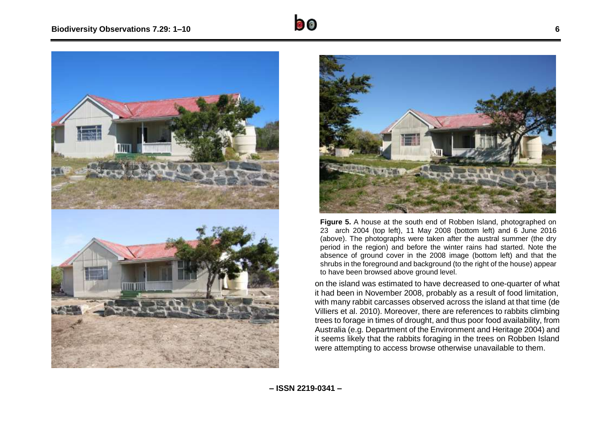



**Figure 5.** A house at the south end of Robben Island, photographed on 23 arch 2004 (top left), 11 May 2008 (bottom left) and 6 June 2016 (above). The photographs were taken after the austral summer (the dry period in the region) and before the winter rains had started. Note the absence of ground cover in the 2008 image (bottom left) and that the shrubs in the foreground and background (to the right of the house) appear to have been browsed above ground level.

on the island was estimated to have decreased to one-quarter of what it had been in November 2008, probably as a result of food limitation, with many rabbit carcasses observed across the island at that time (de Villiers et al. 2010). Moreover, there are references to rabbits climbing trees to forage in times of drought, and thus poor food availability, from Australia (e.g. Department of the Environment and Heritage 2004) and it seems likely that the rabbits foraging in the trees on Robben Island were attempting to access browse otherwise unavailable to them.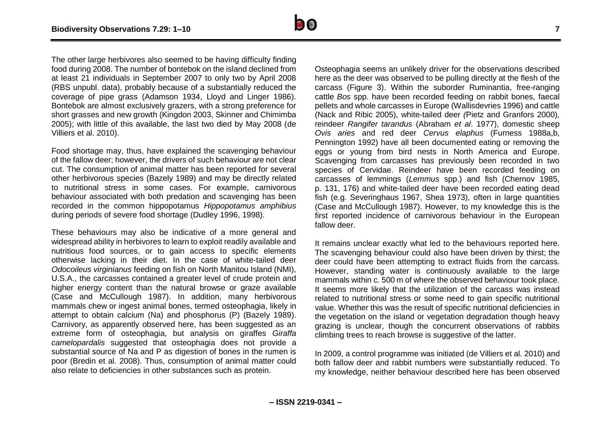The other large herbivores also seemed to be having difficulty finding food during 2008. The number of bontebok on the island declined from at least 21 individuals in September 2007 to only two by April 2008 (RBS unpubl. data), probably because of a substantially reduced the coverage of pipe grass (Adamson 1934, Lloyd and Linger 1986). Bontebok are almost exclusively grazers, with a strong preference for short grasses and new growth (Kingdon 2003, Skinner and Chimimba 2005); with little of this available, the last two died by May 2008 (de Villiers et al. 2010).

Food shortage may, thus, have explained the scavenging behaviour of the fallow deer; however, the drivers of such behaviour are not clear cut. The consumption of animal matter has been reported for several other herbivorous species (Bazely 1989) and may be directly related to nutritional stress in some cases. For example, carnivorous behaviour associated with both predation and scavenging has been recorded in the common hippopotamus *Hippopotamus amphibius* during periods of severe food shortage (Dudley 1996, 1998).

These behaviours may also be indicative of a more general and widespread ability in herbivores to learn to exploit readily available and nutritious food sources, or to gain access to specific elements otherwise lacking in their diet. In the case of white-tailed deer *Odocoileus virginianus* feeding on fish on North Manitou Island (NMI), U.S.A., the carcasses contained a greater level of crude protein and higher energy content than the natural browse or graze available (Case and McCullough 1987). In addition, many herbivorous mammals chew or ingest animal bones, termed osteophagia, likely in attempt to obtain calcium (Na) and phosphorus (P) (Bazely 1989). Carnivory, as apparently observed here, has been suggested as an extreme form of osteophagia, but analysis on giraffes *Giraffa camelopardalis* suggested that osteophagia does not provide a substantial source of Na and P as digestion of bones in the rumen is poor (Bredin et al. 2008). Thus, consumption of animal matter could also relate to deficiencies in other substances such as protein.

Osteophagia seems an unlikely driver for the observations described here as the deer was observed to be pulling directly at the flesh of the carcass (Figure 3). Within the suborder Ruminantia, free-ranging cattle *Bos* spp. have been recorded feeding on rabbit bones, faecal pellets and whole carcasses in Europe (Wallisdevries 1996) and cattle (Nack and Ribic 2005), white-tailed deer *(*Pietz and Granfors 2000)*,*  reindeer *Rangifer tarandus* (Abraham *et al*. 1977), domestic sheep *Ovis aries* and red deer *Cervus elaphus* (Furness 1988a,b, Pennington 1992) have all been documented eating or removing the eggs or young from bird nests in North America and Europe. Scavenging from carcasses has previously been recorded in two species of Cervidae. Reindeer have been recorded feeding on carcasses of lemmings (*Lemmus* spp.) and fish (Chernov 1985, p. 131, 176) and white-tailed deer have been recorded eating dead fish (e.g. Severinghaus 1967, Shea 1973), often in large quantities (Case and McCullough 1987). However, to my knowledge this is the first reported incidence of carnivorous behaviour in the European fallow deer.

It remains unclear exactly what led to the behaviours reported here. The scavenging behaviour could also have been driven by thirst; the deer could have been attempting to extract fluids from the carcass. However, standing water is continuously available to the large mammals within c. 500 m of where the observed behaviour took place. It seems more likely that the utilization of the carcass was instead related to nutritional stress or some need to gain specific nutritional value. Whether this was the result of specific nutritional deficiencies in the vegetation on the island or vegetation degradation though heavy grazing is unclear, though the concurrent observations of rabbits climbing trees to reach browse is suggestive of the latter.

In 2009, a control programme was initiated (de Villiers et al. 2010) and both fallow deer and rabbit numbers were substantially reduced. To my knowledge, neither behaviour described here has been observed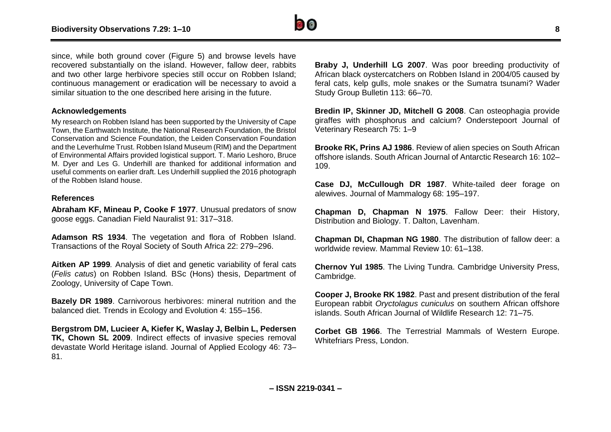

since, while both ground cover (Figure 5) and browse levels have recovered substantially on the island. However, fallow deer, rabbits and two other large herbivore species still occur on Robben Island; continuous management or eradication will be necessary to avoid a similar situation to the one described here arising in the future.

## **Acknowledgements**

My research on Robben Island has been supported by the University of Cape Town, the Earthwatch Institute, the National Research Foundation, the Bristol Conservation and Science Foundation, the Leiden Conservation Foundation and the Leverhulme Trust. Robben Island Museum (RIM) and the Department of Environmental Affairs provided logistical support. T. Mario Leshoro, Bruce M. Dyer and Les G. Underhill are thanked for additional information and useful comments on earlier draft. Les Underhill supplied the 2016 photograph of the Robben Island house.

#### **References**

**Abraham KF, Mineau P, Cooke F 1977**. Unusual predators of snow goose eggs. Canadian Field Nauralist 91: 317–318.

**Adamson RS 1934**. The vegetation and flora of Robben Island. Transactions of the Royal Society of South Africa 22: 279–296.

**Aitken AP 1999***.* Analysis of diet and genetic variability of feral cats (*Felis catus*) on Robben Island*.* BSc (Hons) thesis, Department of Zoology, University of Cape Town.

**Bazely DR 1989**. Carnivorous herbivores: mineral nutrition and the balanced diet. Trends in Ecology and Evolution 4: 155–156.

**Bergstrom DM, Lucieer A, Kiefer K, Waslay J, Belbin L, Pedersen TK, Chown SL 2009**. Indirect effects of invasive species removal devastate World Heritage island. Journal of Applied Ecology 46: 73– 81.

**Braby J, Underhill LG 2007**. Was poor breeding productivity of African black oystercatchers on Robben Island in 2004/05 caused by feral cats, kelp gulls, mole snakes or the Sumatra tsunami? Wader Study Group Bulletin 113: 66–70.

**Bredin IP, Skinner JD, Mitchell G 2008**. Can osteophagia provide giraffes with phosphorus and calcium? Onderstepoort Journal of Veterinary Research 75: 1–9

**Brooke RK, Prins AJ 1986**. Review of alien species on South African offshore islands. South African Journal of Antarctic Research 16: 102– 109.

**Case DJ, McCullough DR 1987**. White-tailed deer forage on alewives. Journal of Mammalogy 68: 195–197.

**Chapman D, Chapman N 1975**. Fallow Deer: their History, Distribution and Biology. T. Dalton, Lavenham.

**Chapman DI, Chapman NG 1980**. The distribution of fallow deer: a worldwide review. Mammal Review 10: 61–138.

**Chernov YuI 1985**. The Living Tundra. Cambridge University Press, Cambridge.

**Cooper J, Brooke RK 1982**. Past and present distribution of the feral European rabbit *Oryctolagus cuniculus* on southern African offshore islands. South African Journal of Wildlife Research 12: 71–75.

**Corbet GB 1966**. The Terrestrial Mammals of Western Europe. Whitefriars Press, London.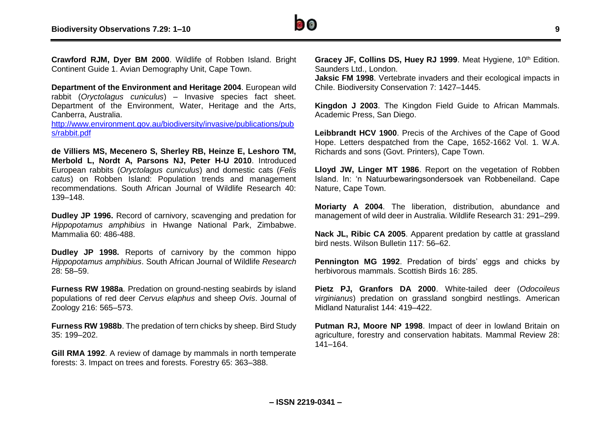

**Crawford RJM, Dyer BM 2000**. Wildlife of Robben Island. Bright Continent Guide 1. Avian Demography Unit, Cape Town.

**Department of the Environment and Heritage 2004**. European wild rabbit (*Oryctolagus cuniculus*) – Invasive species fact sheet. Department of the Environment, Water, Heritage and the Arts, Canberra, Australia.

[http://www.environment.gov.au/biodiversity/invasive/publications/pub](http://www.environment.gov.au/biodiversity/invasive/publications/pubs/rabbit.pdf) [s/rabbit.pdf](http://www.environment.gov.au/biodiversity/invasive/publications/pubs/rabbit.pdf)

**de Villiers MS, Mecenero S, Sherley RB, Heinze E, Leshoro TM, Merbold L, Nordt A, Parsons NJ, Peter H-U 2010**. Introduced European rabbits (*Oryctolagus cuniculus*) and domestic cats (*Felis catus*) on Robben Island: Population trends and management recommendations. South African Journal of Wildlife Research 40: 139–148.

**Dudley JP 1996.** Record of carnivory, scavenging and predation for *Hippopotamus amphibius* in Hwange National Park, Zimbabwe. Mammalia 60: 486-488.

**Dudley JP 1998.** Reports of carnivory by the common hippo *Hippopotamus amphibius*. South African Journal of Wildlife *Research* 28: 58–59.

**Furness RW 1988a**. Predation on ground-nesting seabirds by island populations of red deer *Cervus elaphus* and sheep *Ovis*. Journal of Zoology 216: 565–573.

**Furness RW 1988b**. The predation of tern chicks by sheep. Bird Study 35: 199–202.

**Gill RMA 1992**. A review of damage by mammals in north temperate forests: 3. Impact on trees and forests. Forestry 65: 363–388.

Gracey JF, Collins DS, Huey RJ 1999. Meat Hygiene, 10<sup>th</sup> Edition. Saunders Ltd., London.

**Jaksic FM 1998**. Vertebrate invaders and their ecological impacts in Chile. Biodiversity Conservation 7: 1427–1445.

**Kingdon J 2003**. The Kingdon Field Guide to African Mammals. Academic Press, San Diego.

**Leibbrandt HCV 1900**. Precis of the Archives of the Cape of Good Hope. Letters despatched from the Cape, 1652-1662 Vol. 1. W.A. Richards and sons (Govt. Printers), Cape Town.

**Lloyd JW, Linger MT 1986**. Report on the vegetation of Robben Island. In: 'n Natuurbewaringsondersoek van Robbeneiland. Cape Nature, Cape Town.

**Moriarty A 2004**. The liberation, distribution, abundance and management of wild deer in Australia. Wildlife Research 31: 291–299.

**Nack JL, Ribic CA 2005.** Apparent predation by cattle at grassland bird nests. Wilson Bulletin 117: 56–62.

**Pennington MG 1992**. Predation of birds' eggs and chicks by herbivorous mammals. Scottish Birds 16: 285.

**Pietz PJ, Granfors DA 2000**. White-tailed deer (*Odocoileus virginianus*) predation on grassland songbird nestlings. American Midland Naturalist 144: 419–422.

**Putman RJ, Moore NP 1998**. Impact of deer in lowland Britain on agriculture, forestry and conservation habitats. Mammal Review 28: 141–164.